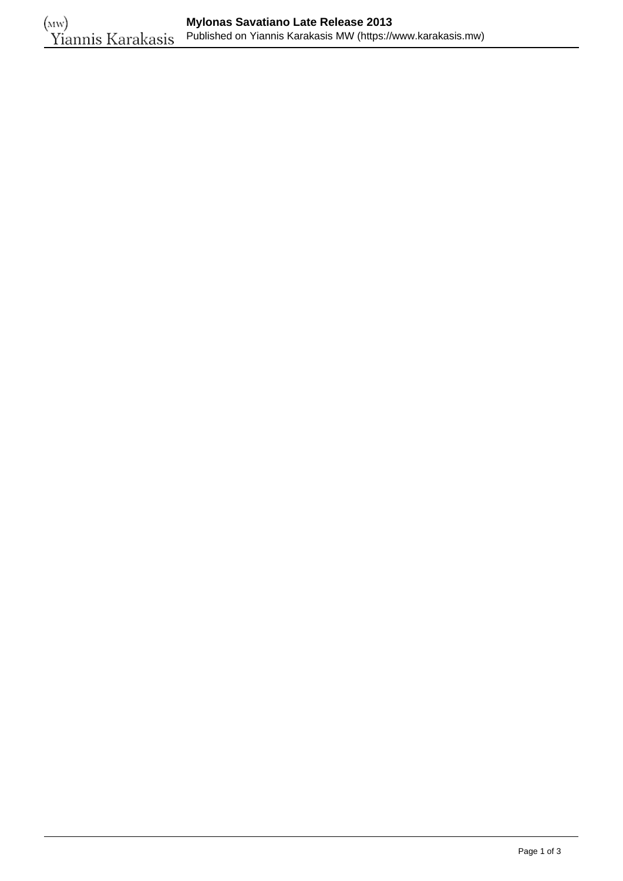Page 1 of 3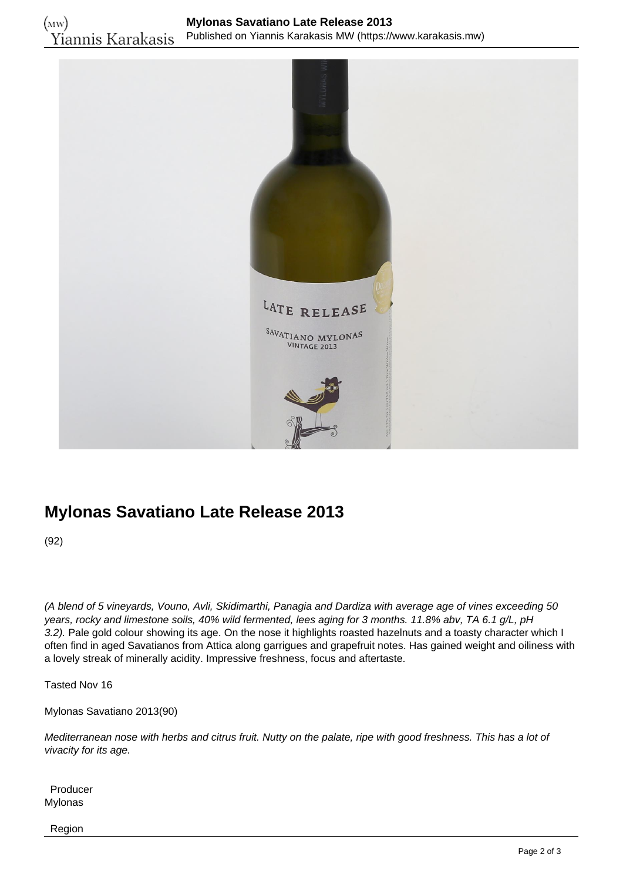

## **Mylonas Savatiano Late Release 2013**

(92)

(A blend of 5 vineyards, Vouno, Avli, Skidimarthi, Panagia and Dardiza with average age of vines exceeding 50 years, rocky and limestone soils, 40% wild fermented, lees aging for 3 months. 11.8% abv, TA 6.1 g/L, pH 3.2). Pale gold colour showing its age. On the nose it highlights roasted hazelnuts and a toasty character which I often find in aged Savatianos from Attica along garrigues and grapefruit notes. Has gained weight and oiliness with a lovely streak of minerally acidity. Impressive freshness, focus and aftertaste.

Tasted Nov 16

Mylonas Savatiano 2013(90)

Mediterranean nose with herbs and citrus fruit. Nutty on the palate, ripe with good freshness. This has a lot of vivacity for its age.

 Producer Mylonas

Region